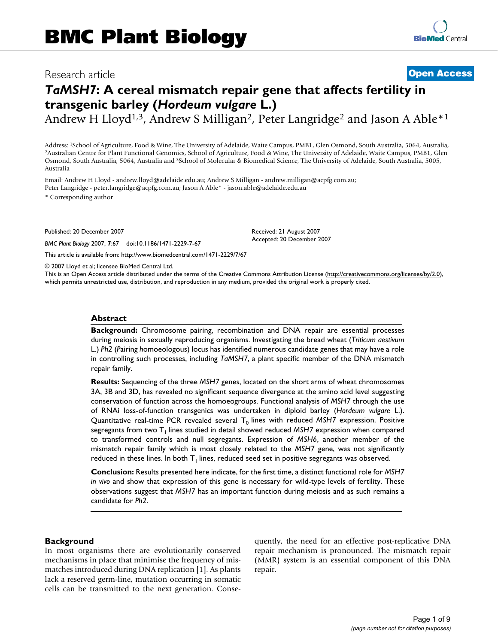# Research article **[Open Access](http://www.biomedcentral.com/info/about/charter/)**

# *TaMSH7***: A cereal mismatch repair gene that affects fertility in transgenic barley (***Hordeum vulgare* **L.)**

Andrew H Lloyd<sup>1,3</sup>, Andrew S Milligan<sup>2</sup>, Peter Langridge<sup>2</sup> and Jason A Able<sup>\*1</sup>

Address: <sup>1</sup>School of Agriculture, Food & Wine, The University of Adelaide, Waite Campus, PMB1, Glen Osmond, South Australia, 5064, Australia, 1986, Australia, 5064, Australia, 5064, Australia, Endie, The University of Ade Osmond, South Australia, 5064, Australia and 3School of Molecular & Biomedical Science, The University of Adelaide, South Australia, 5005, Australia

Email: Andrew H Lloyd - andrew.lloyd@adelaide.edu.au; Andrew S Milligan - andrew.milligan@acpfg.com.au; Peter Langridge - peter.langridge@acpfg.com.au; Jason A Able\* - jason.able@adelaide.edu.au

\* Corresponding author

Published: 20 December 2007

*BMC Plant Biology* 2007, **7**:67 doi:10.1186/1471-2229-7-67

[This article is available from: http://www.biomedcentral.com/1471-2229/7/67](http://www.biomedcentral.com/1471-2229/7/67)

© 2007 Lloyd et al; licensee BioMed Central Ltd.

This is an Open Access article distributed under the terms of the Creative Commons Attribution License [\(http://creativecommons.org/licenses/by/2.0\)](http://creativecommons.org/licenses/by/2.0), which permits unrestricted use, distribution, and reproduction in any medium, provided the original work is properly cited.

Received: 21 August 2007 Accepted: 20 December 2007

#### **Abstract**

**Background:** Chromosome pairing, recombination and DNA repair are essential processes during meiosis in sexually reproducing organisms. Investigating the bread wheat (*Triticum aestivum* L.) *Ph2* (*P*airing *h*omoeologous) locus has identified numerous candidate genes that may have a role in controlling such processes, including *TaMSH7*, a plant specific member of the DNA mismatch repair family.

**Results:** Sequencing of the three *MSH7* genes, located on the short arms of wheat chromosomes 3A, 3B and 3D, has revealed no significant sequence divergence at the amino acid level suggesting conservation of function across the homoeogroups. Functional analysis of *MSH7* through the use of RNAi loss-of-function transgenics was undertaken in diploid barley (*Hordeum vulgare* L.). Quantitative real-time PCR revealed several T<sub>0</sub> lines with reduced *MSH7* expression. Positive segregants from two T<sub>1</sub> lines studied in detail showed reduced *MSH7* expression when compared to transformed controls and null segregants. Expression of *MSH6*, another member of the mismatch repair family which is most closely related to the *MSH7* gene, was not significantly reduced in these lines. In both  $T<sub>1</sub>$  lines, reduced seed set in positive segregants was observed.

**Conclusion:** Results presented here indicate, for the first time, a distinct functional role for *MSH7 in vivo* and show that expression of this gene is necessary for wild-type levels of fertility. These observations suggest that *MSH7* has an important function during meiosis and as such remains a candidate for *Ph2*.

#### **Background**

In most organisms there are evolutionarily conserved mechanisms in place that minimise the frequency of mismatches introduced during DNA replication [1]. As plants lack a reserved germ-line, mutation occurring in somatic cells can be transmitted to the next generation. Consequently, the need for an effective post-replicative DNA repair mechanism is pronounced. The mismatch repair (MMR) system is an essential component of this DNA repair.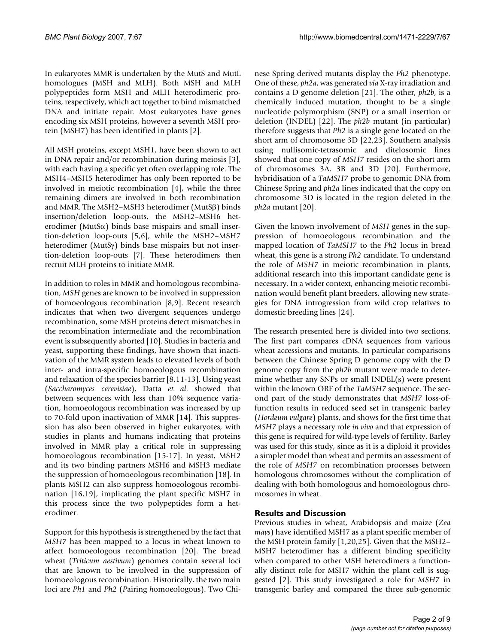In eukaryotes MMR is undertaken by the MutS and MutL homologues (MSH and MLH). Both MSH and MLH polypeptides form MSH and MLH heterodimeric proteins, respectively, which act together to bind mismatched DNA and initiate repair. Most eukaryotes have genes encoding six MSH proteins, however a seventh MSH protein (MSH7) has been identified in plants [2].

All MSH proteins, except MSH1, have been shown to act in DNA repair and/or recombination during meiosis [3], with each having a specific yet often overlapping role. The MSH4–MSH5 heterodimer has only been reported to be involved in meiotic recombination [4], while the three remaining dimers are involved in both recombination and MMR. The MSH2–MSH3 heterodimer (MutSβ) binds insertion/deletion loop-outs, the MSH2–MSH6 heterodimer (MutS $\alpha$ ) binds base mispairs and small insertion-deletion loop-outs [5,6], while the MSH2–MSH7 heterodimer (MutSγ) binds base mispairs but not insertion-deletion loop-outs [7]. These heterodimers then recruit MLH proteins to initiate MMR.

In addition to roles in MMR and homologous recombination, *MSH* genes are known to be involved in suppression of homoeologous recombination [8,9]. Recent research indicates that when two divergent sequences undergo recombination, some MSH proteins detect mismatches in the recombination intermediate and the recombination event is subsequently aborted [10]. Studies in bacteria and yeast, supporting these findings, have shown that inactivation of the MMR system leads to elevated levels of both inter- and intra-specific homoeologous recombination and relaxation of the species barrier [8,11-13]. Using yeast (*Saccharomyces cerevisiae*), Datta *et al*. showed that between sequences with less than 10% sequence variation, homoeologous recombination was increased by up to 70-fold upon inactivation of MMR [14]. This suppression has also been observed in higher eukaryotes, with studies in plants and humans indicating that proteins involved in MMR play a critical role in suppressing homoeologous recombination [15-17]. In yeast, MSH2 and its two binding partners MSH6 and MSH3 mediate the suppression of homoeologous recombination [18]. In plants MSH2 can also suppress homoeologous recombination [16,19], implicating the plant specific MSH7 in this process since the two polypeptides form a heterodimer.

Support for this hypothesis is strengthened by the fact that *MSH7* has been mapped to a locus in wheat known to affect homoeologous recombination [20]. The bread wheat (*Triticum aestivum*) genomes contain several loci that are known to be involved in the suppression of homoeologous recombination. Historically, the two main loci are *Ph1* and *Ph2* (*P*airing *h*omoeologous). Two Chinese Spring derived mutants display the *Ph2* phenotype. One of these, *ph2a*, was generated *via* X-ray irradiation and contains a D genome deletion [21]. The other, *ph2b*, is a chemically induced mutation, thought to be a single nucleotide polymorphism (SNP) or a small insertion or deletion (INDEL) [22]. The *ph2b* mutant (in particular) therefore suggests that *Ph2* is a single gene located on the short arm of chromosome 3D [22,23]. Southern analysis using nullisomic-tetrasomic and ditelosomic lines showed that one copy of *MSH7* resides on the short arm of chromosomes 3A, 3B and 3D [20]. Furthermore, hybridisation of a *TaMSH7* probe to genomic DNA from Chinese Spring and *ph2a* lines indicated that the copy on chromosome 3D is located in the region deleted in the *ph2a* mutant [20].

Given the known involvement of *MSH* genes in the suppression of homoeologous recombination and the mapped location of *TaMSH7* to the *Ph2* locus in bread wheat, this gene is a strong *Ph2* candidate. To understand the role of *MSH7* in meiotic recombination in plants, additional research into this important candidate gene is necessary. In a wider context, enhancing meiotic recombination would benefit plant breeders, allowing new strategies for DNA introgression from wild crop relatives to domestic breeding lines [24].

The research presented here is divided into two sections. The first part compares cDNA sequences from various wheat accessions and mutants. In particular comparisons between the Chinese Spring D genome copy with the D genome copy from the *ph2b* mutant were made to determine whether any SNPs or small INDEL(s) were present within the known ORF of the *TaMSH7* sequence. The second part of the study demonstrates that *MSH7* loss-offunction results in reduced seed set in transgenic barley (*Hordeum vulgare*) plants, and shows for the first time that *MSH7* plays a necessary role *in vivo* and that expression of this gene is required for wild-type levels of fertility. Barley was used for this study, since as it is a diploid it provides a simpler model than wheat and permits an assessment of the role of *MSH7* on recombination processes between homologous chromosomes without the complication of dealing with both homologous and homoeologous chromosomes in wheat.

# **Results and Discussion**

Previous studies in wheat, Arabidopsis and maize (*Zea mays*) have identified MSH7 as a plant specific member of the MSH protein family [1,20,25]. Given that the MSH2– MSH7 heterodimer has a different binding specificity when compared to other MSH heterodimers a functionally distinct role for MSH7 within the plant cell is suggested [2]. This study investigated a role for *MSH7* in transgenic barley and compared the three sub-genomic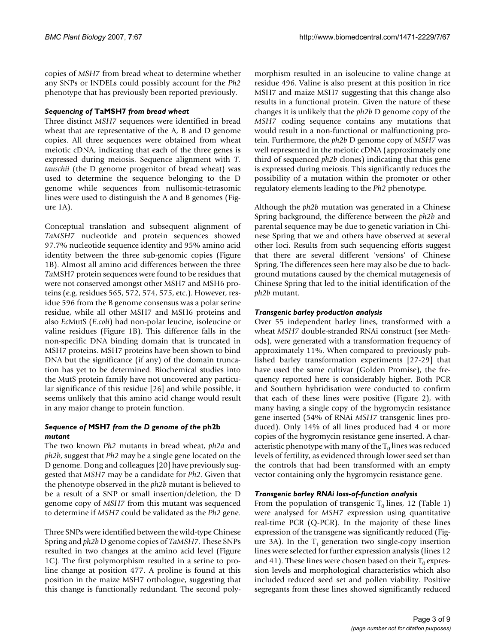copies of *MSH7* from bread wheat to determine whether any SNPs or INDELs could possibly account for the *Ph2* phenotype that has previously been reported previously.

# *Sequencing of* **TaMSH7** *from bread wheat*

Three distinct *MSH7* sequences were identified in bread wheat that are representative of the A, B and D genome copies. All three sequences were obtained from wheat meiotic cDNA, indicating that each of the three genes is expressed during meiosis. Sequence alignment with *T. tauschii* (the D genome progenitor of bread wheat) was used to determine the sequence belonging to the D genome while sequences from nullisomic-tetrasomic lines were used to distinguish the A and B genomes (Figure 1A).

Conceptual translation and subsequent alignment of *TaMSH7* nucleotide and protein sequences showed 97.7% nucleotide sequence identity and 95% amino acid identity between the three sub-genomic copies (Figure 1B). Almost all amino acid differences between the three *Ta*MSH7 protein sequences were found to be residues that were not conserved amongst other MSH7 and MSH6 proteins (e.g. residues 565, 572, 574, 575, etc.). However, residue 596 from the B genome consensus was a polar serine residue, while all other MSH7 and MSH6 proteins and also *Ec*MutS (*E*.*coli*) had non-polar leucine, isoleucine or valine residues (Figure 1B). This difference falls in the non-specific DNA binding domain that is truncated in MSH7 proteins. MSH7 proteins have been shown to bind DNA but the significance (if any) of the domain truncation has yet to be determined. Biochemical studies into the MutS protein family have not uncovered any particular significance of this residue [26] and while possible, it seems unlikely that this amino acid change would result in any major change to protein function.

# *Sequence of* **MSH7** *from the D genome of the* **ph2b**  *mutant*

The two known *Ph2* mutants in bread wheat, *ph2a* and *ph2b*, suggest that *Ph2* may be a single gene located on the D genome. Dong and colleagues [20] have previously suggested that *MSH7* may be a candidate for *Ph2*. Given that the phenotype observed in the *ph2b* mutant is believed to be a result of a SNP or small insertion/deletion, the D genome copy of *MSH7* from this mutant was sequenced to determine if *MSH7* could be validated as the *Ph2* gene.

Three SNPs were identified between the wild-type Chinese Spring and *ph2b* D genome copies of *TaMSH7*. These SNPs resulted in two changes at the amino acid level (Figure 1C). The first polymorphism resulted in a serine to proline change at position 477. A proline is found at this position in the maize MSH7 orthologue, suggesting that this change is functionally redundant. The second polymorphism resulted in an isoleucine to valine change at residue 496. Valine is also present at this position in rice MSH7 and maize MSH7 suggesting that this change also results in a functional protein. Given the nature of these changes it is unlikely that the *ph2b* D genome copy of the *MSH7* coding sequence contains any mutations that would result in a non-functional or malfunctioning protein. Furthermore, the *ph2b* D genome copy of *MSH7* was well represented in the meiotic cDNA (approximately one third of sequenced *ph2b* clones) indicating that this gene is expressed during meiosis. This significantly reduces the possibility of a mutation within the promoter or other regulatory elements leading to the *Ph2* phenotype.

Although the *ph2b* mutation was generated in a Chinese Spring background, the difference between the *ph2b* and parental sequence may be due to genetic variation in Chinese Spring that we and others have observed at several other loci. Results from such sequencing efforts suggest that there are several different 'versions' of Chinese Spring. The differences seen here may also be due to background mutations caused by the chemical mutagenesis of Chinese Spring that led to the initial identification of the *ph2b* mutant.

# *Transgenic barley production analysis*

Over 55 independent barley lines, transformed with a wheat *MSH7* double-stranded RNAi construct (see Methods), were generated with a transformation frequency of approximately 11%. When compared to previously published barley transformation experiments [27-29] that have used the same cultivar (Golden Promise), the frequency reported here is considerably higher. Both PCR and Southern hybridisation were conducted to confirm that each of these lines were positive (Figure 2), with many having a single copy of the hygromycin resistance gene inserted (54% of RNAi *MSH7* transgenic lines produced). Only 14% of all lines produced had 4 or more copies of the hygromycin resistance gene inserted. A characteristic phenotype with many of the  $T_0$  lines was reduced levels of fertility, as evidenced through lower seed set than the controls that had been transformed with an empty vector containing only the hygromycin resistance gene.

## *Transgenic barley RNAi loss-of-function analysis*

From the population of transgenic  $T_0$  lines, 12 (Table 1) were analysed for *MSH7* expression using quantitative real-time PCR (Q-PCR). In the majority of these lines expression of the transgene was significantly reduced (Figure 3A). In the  $T_1$  generation two single-copy insertion lines were selected for further expression analysis (lines 12 and 41). These lines were chosen based on their  $T_0$  expression levels and morphological characteristics which also included reduced seed set and pollen viability. Positive segregants from these lines showed significantly reduced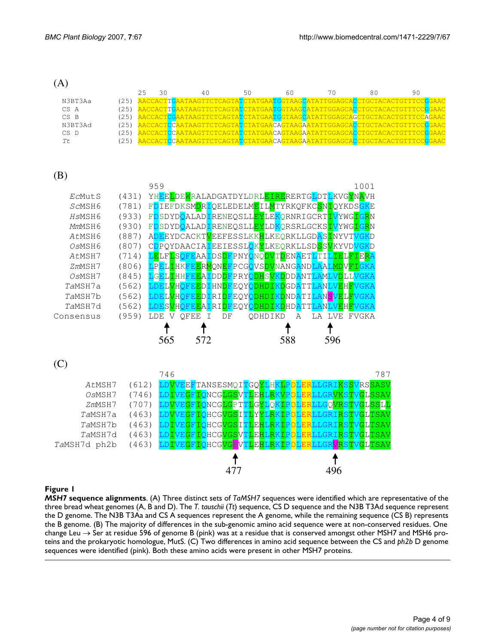(A)

|         |      | 25 | 40 |  |  |                                                                           |  |  |
|---------|------|----|----|--|--|---------------------------------------------------------------------------|--|--|
| N3BT3Aa | (25) |    |    |  |  | AACCACTTGAATAAGTTCTCAGTATCTATGAATGGTAAGCATATTGGAGCACCTGCTACACTGTTTCCGGAAC |  |  |
| CS A    | (25) |    |    |  |  | AACCACTTGAATAAGTTCTCAGTATCTATGAATGGTAAGCATATTGGAGCACCTGCTACACTGTTTCCGGAAC |  |  |
| CS B    | (25) |    |    |  |  | AACCACTCGAATAAGTTCTCAGTATCTATGAATGGTAAGCATATTGGAGCAGCTGCTACACTGTTTCCAGAAC |  |  |
| N3BT3Ad | (25) |    |    |  |  | AACCACTCCAATAAGTTCTCAGTATCTATGAACAGTAAGAATATTGGAGCACCTGCTACACTGTTTCCGGAAC |  |  |
| $CS$ D  |      |    |    |  |  | AACCACTCCAATAAGTTCTCAGTATCTATGAACAGTAAGAATATTGGAGCACCTGCTACACTGTTTCCGGAAC |  |  |
|         |      |    |    |  |  | AACCACTCCAATAAGTTCTCAGTATCTATGAACAGTAAGAATATTGGAGCACCTGCTACACTGTTTCCGGAAC |  |  |

# (B)



## **Figure 1**

*MSH7* **sequence alignments**. (A) Three distinct sets of *TaMSH7* sequences were identified which are representative of the three bread wheat genomes (A, B and D). The *T. tauschii* (*Tt*) sequence, CS D sequence and the N3B T3Ad sequence represent the D genome. The N3B T3Aa and CS A sequences represent the A genome, while the remaining sequence (CS B) represents the B genome. (B) The majority of differences in the sub-genomic amino acid sequence were at non-conserved residues. One change Leu  $\rightarrow$  Ser at residue 596 of genome B (pink) was at a residue that is conserved amongst other MSH7 and MSH6 proteins and the prokaryotic homologue, MutS. (C) Two differences in amino acid sequence between the CS and *ph2b* D genome sequences were identified (pink). Both these amino acids were present in other MSH7 proteins.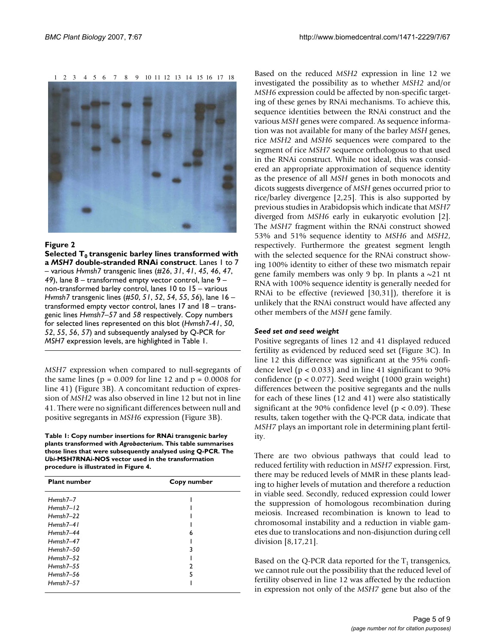1 2 3 4 5 6 7 8 9 10 11 12 13 14 15 16 17 18



Selected T0 double-stranded RNAi construct **Figure 2** transgenic barley lines transformed with a *MSH7*  **Selected T0 transgenic barley lines transformed with a** *MSH7* **double-stranded RNAi construct**. Lanes 1 to 7 – various *Hvmsh7* transgenic lines (#*26*, *31*, *41*, *45*, *46*, *47*, *49*), lane 8 – transformed empty vector control, lane 9 – non-transformed barley control, lanes 10 to 15 – various *Hvmsh7* transgenic lines (#*50*, *51*, *52*, *54*, *55*, *56*), lane 16 – transformed empty vector control, lanes 17 and 18 – transgenic lines *Hvmsh7–57* and *58* respectively. Copy numbers for selected lines represented on this blot (*Hvmsh7*-*41*, *50*, *52*, *55*, *56*, *57*) and subsequently analysed by Q-PCR for *MSH7* expression levels, are highlighted in Table 1.

*MSH7* expression when compared to null-segregants of the same lines ( $p = 0.009$  for line 12 and  $p = 0.0008$  for line 41) (Figure 3B). A concomitant reduction of expression of *MSH2* was also observed in line 12 but not in line 41. There were no significant differences between null and positive segregants in *MSH6* expression (Figure 3B).

**Table 1: Copy number insertions for RNAi transgenic barley plants transformed with** *Agrobacterium***. This table summarises those lines that were subsequently analysed using Q-PCR. The**  *Ubi***-MSH7RNAi-NOS vector used in the transformation procedure is illustrated in Figure 4.**

| <b>Plant number</b> | Copy number |
|---------------------|-------------|
| $Hvmsh7-7$          |             |
| $Hvmsh7-12$         |             |
| $Hvmsh7-22$         |             |
| $Hvmsh7-41$         |             |
| $Hvmsh7-44$         | 6           |
| $Hvmsh7-47$         |             |
| $Hvmsh7-50$         | 3           |
| $Hvmsh7-52$         |             |
| $Hvmsh7-55$         | າ           |
| $Hvmsh7-56$         | 5           |
| $Hvmsh7-57$         |             |

Based on the reduced *MSH2* expression in line 12 we investigated the possibility as to whether *MSH2* and/or *MSH6* expression could be affected by non-specific targeting of these genes by RNAi mechanisms. To achieve this, sequence identities between the RNAi construct and the various *MSH* genes were compared. As sequence information was not available for many of the barley *MSH* genes, rice *MSH2* and *MSH6* sequences were compared to the segment of rice *MSH7* sequence orthologous to that used in the RNAi construct. While not ideal, this was considered an appropriate approximation of sequence identity as the presence of all *MSH* genes in both monocots and dicots suggests divergence of *MSH* genes occurred prior to rice/barley divergence [2,25]. This is also supported by previous studies in Arabidopsis which indicate that *MSH7* diverged from *MSH6* early in eukaryotic evolution [2]. The *MSH7* fragment within the RNAi construct showed 53% and 51% sequence identity to *MSH6* and *MSH2*, respectively. Furthermore the greatest segment length with the selected sequence for the RNAi construct showing 100% identity to either of these two mismatch repair gene family members was only 9 bp. In plants a  $\sim$ 21 nt RNA with 100% sequence identity is generally needed for RNAi to be effective (reviewed [30,31]), therefore it is unlikely that the RNAi construct would have affected any other members of the *MSH* gene family.

#### *Seed set and seed weight*

Positive segregants of lines 12 and 41 displayed reduced fertility as evidenced by reduced seed set (Figure 3C). In line 12 this difference was significant at the 95% confidence level ( $p < 0.033$ ) and in line 41 significant to 90% confidence (p < 0.077). Seed weight (1000 grain weight) differences between the positive segregants and the nulls for each of these lines (12 and 41) were also statistically significant at the 90% confidence level ( $p < 0.09$ ). These results, taken together with the Q-PCR data, indicate that *MSH7* plays an important role in determining plant fertility.

There are two obvious pathways that could lead to reduced fertility with reduction in *MSH7* expression. First, there may be reduced levels of MMR in these plants leading to higher levels of mutation and therefore a reduction in viable seed. Secondly, reduced expression could lower the suppression of homologous recombination during meiosis. Increased recombination is known to lead to chromosomal instability and a reduction in viable gametes due to translocations and non-disjunction during cell division [8,17,21].

Based on the Q-PCR data reported for the  $T_1$  transgenics, we cannot rule out the possibility that the reduced level of fertility observed in line 12 was affected by the reduction in expression not only of the *MSH7* gene but also of the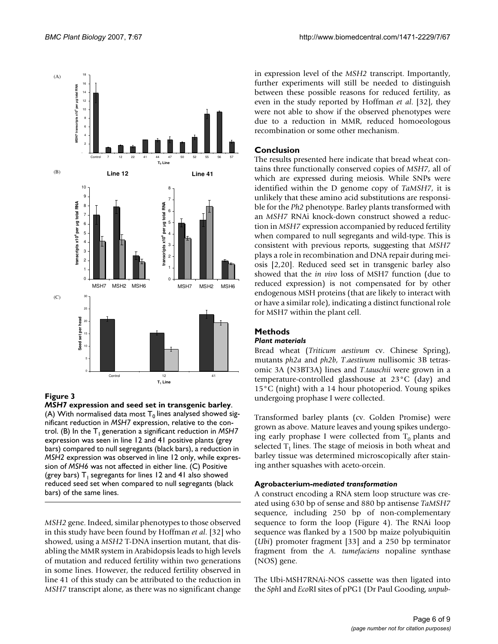

# **Figure 3**

*MSH7* **expression and seed set in transgenic barley**. (A) With normalised data most  $T_0$  lines analysed showed significant reduction in *MSH7* expression, relative to the control. (B) In the  $T_1$  generation a significant reduction in *MSH7* expression was seen in line 12 and 41 positive plants (grey bars) compared to null segregants (black bars), a reduction in *MSH2* expression was observed in line 12 only, while expression of *MSH6* was not affected in either line. (C) Positive (grey bars)  $T_1$  segregants for lines 12 and 41 also showed reduced seed set when compared to null segregants (black bars) of the same lines.

*MSH2* gene. Indeed, similar phenotypes to those observed in this study have been found by Hoffman *et al*. [32] who showed, using a *MSH2* T-DNA insertion mutant, that disabling the MMR system in Arabidopsis leads to high levels of mutation and reduced fertility within two generations in some lines. However, the reduced fertility observed in line 41 of this study can be attributed to the reduction in *MSH7* transcript alone, as there was no significant change in expression level of the *MSH2* transcript. Importantly, further experiments will still be needed to distinguish between these possible reasons for reduced fertility, as even in the study reported by Hoffman *et al*. [32], they were not able to show if the observed phenotypes were due to a reduction in MMR, reduced homoeologous recombination or some other mechanism.

# **Conclusion**

The results presented here indicate that bread wheat contains three functionally conserved copies of *MSH7*, all of which are expressed during meiosis. While SNPs were identified within the D genome copy of *TaMSH7*, it is unlikely that these amino acid substitutions are responsible for the *Ph2* phenotype. Barley plants transformed with an *MSH7* RNAi knock-down construct showed a reduction in *MSH7* expression accompanied by reduced fertility when compared to null segregants and wild-type. This is consistent with previous reports, suggesting that *MSH7* plays a role in recombination and DNA repair during meiosis [2,20]. Reduced seed set in transgenic barley also showed that the *in vivo* loss of MSH7 function (due to reduced expression) is not compensated for by other endogenous MSH proteins (that are likely to interact with or have a similar role), indicating a distinct functional role for MSH7 within the plant cell.

## **Methods**

#### *Plant materials*

Bread wheat (*Triticum aestivum* cv. Chinese Spring), mutants *ph2a* and *ph2b*, *T*.*aestivum* nullisomic 3B tetrasomic 3A (N3BT3A) lines and *T*.*tauschii* were grown in a temperature-controlled glasshouse at 23°C (day) and 15°C (night) with a 14 hour photoperiod. Young spikes undergoing prophase I were collected.

Transformed barley plants (cv. Golden Promise) were grown as above. Mature leaves and young spikes undergoing early prophase I were collected from  $T_0$  plants and selected  $T_1$  lines. The stage of meiosis in both wheat and barley tissue was determined microscopically after staining anther squashes with aceto-orcein.

## **Agrobacterium***-mediated transformation*

A construct encoding a RNA stem loop structure was created using 630 bp of sense and 880 bp antisense *TaMSH7* sequence, including 250 bp of non-complementary sequence to form the loop (Figure 4). The RNAi loop sequence was flanked by a 1500 bp maize polyubiquitin (*Ubi*) promoter fragment [33] and a 250 bp terminator fragment from the *A. tumefaciens* nopaline synthase (NOS) gene.

The Ubi-MSH7RNAi-NOS cassette was then ligated into the *Sph*I and *Eco*RI sites of pPG1 (Dr Paul Gooding, *unpub-*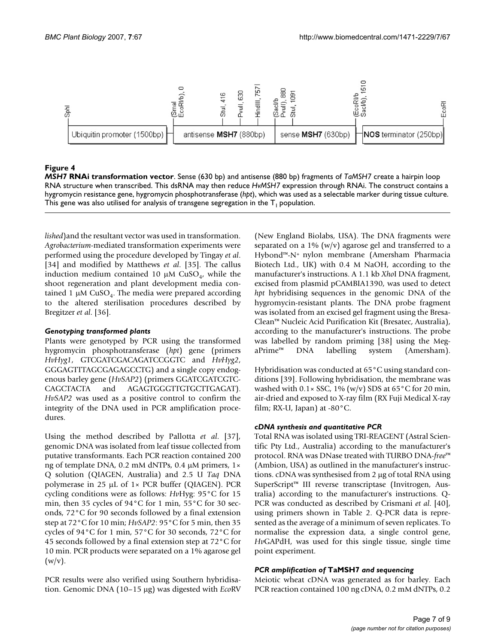

#### **Figure 4**

*MSH7* **RNAi transformation vector**. Sense (630 bp) and antisense (880 bp) fragments of *TaMSH7* create a hairpin loop RNA structure when transcribed. This dsRNA may then reduce *HvMSH7* expression through RNAi. The construct contains a hygromycin resistance gene, hygromycin phosphotransferase (*hpt*), which was used as a selectable marker during tissue culture. This gene was also utilised for analysis of transgene segregation in the  $T_1$  population.

*lished*)and the resultant vector was used in transformation. *Agrobacterium*-mediated transformation experiments were performed using the procedure developed by Tingay *et al*. [34] and modified by Matthews *et al*. [35]. The callus induction medium contained 10  $\mu$ M CuSO<sub>4</sub>, while the shoot regeneration and plant development media contained 1  $\mu$ M CuSO<sub>4</sub>. The media were prepared according to the altered sterilisation procedures described by Bregitzer *et al*. [36].

## *Genotyping transformed plants*

Plants were genotyped by PCR using the transformed hygromycin phosphotransferase (*hpt*) gene (primers *HvHyg1*, GTCGATCGACAGATCCGGTC and *HvHyg2*, GGGAGTTTAGCGAGAGCCTG) and a single copy endogenous barley gene (*HvSAP2*) (primers GGATCGATCGTC-CAGCTACTA and AGAGTGGGTTGTGCTTGAGAT). *HvSAP2* was used as a positive control to confirm the integrity of the DNA used in PCR amplification procedures.

Using the method described by Pallotta *et al*. [37], genomic DNA was isolated from leaf tissue collected from putative transformants. Each PCR reaction contained 200 ng of template DNA, 0.2 mM dNTPs, 0.4 µM primers, 1× Q solution (QIAGEN, Australia) and 2.5 U *Taq* DNA polymerase in 25  $\mu$ L of 1× PCR buffer (QIAGEN). PCR cycling conditions were as follows: *Hv*Hyg: 95°C for 15 min, then 35 cycles of 94°C for 1 min, 55°C for 30 seconds, 72°C for 90 seconds followed by a final extension step at 72°C for 10 min; *HvSAP2*: 95°C for 5 min, then 35 cycles of 94°C for 1 min, 57°C for 30 seconds, 72°C for 45 seconds followed by a final extension step at 72°C for 10 min. PCR products were separated on a 1% agarose gel  $(w/v)$ .

PCR results were also verified using Southern hybridisation. Genomic DNA (10–15 µg) was digested with *Eco*RV (New England Biolabs, USA). The DNA fragments were separated on a  $1\%$  (w/v) agarose gel and transferred to a Hybond™-N+ nylon membrane (Amersham Pharmacia Biotech Ltd., UK) with 0.4 M NaOH, according to the manufacturer's instructions. A 1.1 kb *Xho*I DNA fragment, excised from plasmid pCAMBIA1390, was used to detect *hpt* hybridising sequences in the genomic DNA of the hygromycin-resistant plants. The DNA probe fragment was isolated from an excised gel fragment using the Bresa-Clean™ Nucleic Acid Purification Kit (Bresatec, Australia), according to the manufacturer's instructions. The probe was labelled by random priming [38] using the MegaPrime™ DNA labelling system (Amersham).

Hybridisation was conducted at 65°C using standard conditions [39]. Following hybridisation, the membrane was washed with  $0.1 \times$  SSC,  $1\%$  (w/v) SDS at 65 °C for 20 min, air-dried and exposed to X-ray film (RX Fuji Medical X-ray film; RX-U, Japan) at -80°C.

## *cDNA synthesis and quantitative PCR*

Total RNA was isolated using TRI-REAGENT (Astral Scientific Pty Ltd., Australia) according to the manufacturer's protocol. RNA was DNase treated with TURBO DNA-*free*™ (Ambion, USA) as outlined in the manufacturer's instructions. cDNA was synthesised from 2 µg of total RNA using SuperScript™ III reverse transcriptase (Invitrogen, Australia) according to the manufacturer's instructions. Q-PCR was conducted as described by Crismani *et al*. [40], using primers shown in Table 2. Q-PCR data is represented as the average of a minimum of seven replicates. To normalise the expression data, a single control gene, *Hv*GAPdH, was used for this single tissue, single time point experiment.

#### *PCR amplification of* **TaMSH7** *and sequencing*

Meiotic wheat cDNA was generated as for barley. Each PCR reaction contained 100 ng cDNA, 0.2 mM dNTPs, 0.2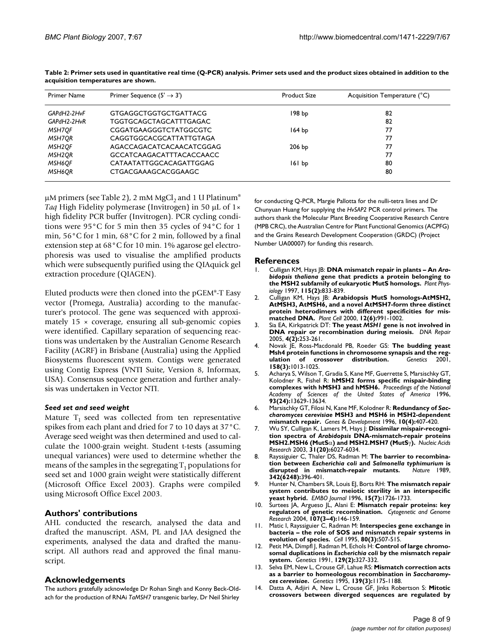| Primer Name         | Primer Sequence $(5' \rightarrow 3')$ | <b>Product Size</b> | Acquisition Temperature (°C) |  |
|---------------------|---------------------------------------|---------------------|------------------------------|--|
| GAPdH2-2HvF         | GTGAGGCTGGTGCTGATTACG                 | 198 bp              | 82                           |  |
| GAPdH2-2HvR         | TGGTGCAGCTAGCATTTGAGAC                |                     | 82                           |  |
| MSH7OF              | CGGATGAAGGGTCTATGGCGTC                | 164 <sub>bp</sub>   | 77                           |  |
| MSH7OR              | CAGGTGGCACGCATTATTGTAGA               |                     | 77                           |  |
| MSH2OF              | AGACCAGACATCACAACATCGGAG              | $206$ bp            | 77                           |  |
| MSH <sub>2</sub> OR | <b>GCCATCAAGACATTTACACCAACC</b>       |                     | 77                           |  |
| MSH6OF              | CATAATATTGGCACAGATTGGAG               | 161 bp              | 80                           |  |
| MSH6OR              | CTGACGAAAGCACGGAAGC                   |                     | 80                           |  |
|                     |                                       |                     |                              |  |

**Table 2: Primer sets used in quantitative real time (Q-PCR) analysis. Primer sets used and the product sizes obtained in addition to the acquisition temperatures are shown.**

 $\mu$ M primers (see Table 2), 2 mM MgCl<sub>2</sub> and 1 U Platinum<sup>®</sup> *Taq* High Fidelity polymerase (Invitrogen) in 50 µL of 1× high fidelity PCR buffer (Invitrogen). PCR cycling conditions were 95°C for 5 min then 35 cycles of 94°C for 1 min, 56°C for 1 min, 68°C for 2 min, followed by a final extension step at 68°C for 10 min. 1% agarose gel electrophoresis was used to visualise the amplified products which were subsequently purified using the QIAquick gel extraction procedure (QIAGEN).

Eluted products were then cloned into the pGEM®-T Easy vector (Promega, Australia) according to the manufacturer's protocol. The gene was sequenced with approximately  $15 \times$  coverage, ensuring all sub-genomic copies were identified. Capillary separation of sequencing reactions was undertaken by the Australian Genome Research Facility (AGRF) in Brisbane (Australia) using the Applied Biosystems fluorescent system. Contigs were generated using Contig Express (VNTI Suite, Version 8, Informax, USA). Consensus sequence generation and further analysis was undertaken in Vector NTI.

#### *Seed set and seed weight*

Mature  $T_1$  seed was collected from ten representative spikes from each plant and dried for 7 to 10 days at 37°C. Average seed weight was then determined and used to calculate the 1000-grain weight. Student t-tests (assuming unequal variances) were used to determine whether the means of the samples in the segregating  $T_1$  populations for seed set and 1000 grain weight were statistically different (Microsoft Office Excel 2003). Graphs were compiled using Microsoft Office Excel 2003.

## **Authors' contributions**

AHL conducted the research, analysed the data and drafted the manuscript. ASM, PL and JAA designed the experiments, analysed the data and drafted the manuscript. All authors read and approved the final manuscript.

#### **Acknowledgements**

The authors gratefully acknowledge Dr Rohan Singh and Konny Beck-Oldach for the production of RNAi *TaMSH7* transgenic barley, Dr Neil Shirley

for conducting Q-PCR, Margie Pallotta for the nulli-tetra lines and Dr Chunyuan Huang for supplying the *HvSAP2* PCR control primers. The authors thank the Molecular Plant Breeding Cooperative Research Centre (MPB CRC), the Australian Centre for Plant Functional Genomics (ACPFG) and the Grains Research Development Cooperation (GRDC) (Project Number UA00007) for funding this research.

#### **References**

- 1. Culligan KM, Hays JB: **DNA mismatch repair in plants An** *Arabidopsis thaliana* **[gene that predicts a protein belonging to](http://www.ncbi.nlm.nih.gov/entrez/query.fcgi?cmd=Retrieve&db=PubMed&dopt=Abstract&list_uids=9342879) [the MSH2 subfamily of eukaryotic MutS homologs.](http://www.ncbi.nlm.nih.gov/entrez/query.fcgi?cmd=Retrieve&db=PubMed&dopt=Abstract&list_uids=9342879)** *Plant Physiology* 1997, **115(2):**833-839.
- 2. Culligan KM, Hays JB: **[Arabidopsis MutS homologs-AtMSH2,](http://www.ncbi.nlm.nih.gov/entrez/query.fcgi?cmd=Retrieve&db=PubMed&dopt=Abstract&list_uids=10852942) AtMSH3, AtMSH6, and a novel AtMSH7-form three distinct [protein heterodimers with different specificities for mis](http://www.ncbi.nlm.nih.gov/entrez/query.fcgi?cmd=Retrieve&db=PubMed&dopt=Abstract&list_uids=10852942)[matched DNA.](http://www.ncbi.nlm.nih.gov/entrez/query.fcgi?cmd=Retrieve&db=PubMed&dopt=Abstract&list_uids=10852942)** *Plant Cell* 2000, **12(6):**991-1002.
- 3. Sia EA, Kirkpatrick DT: **The yeast** *MSH1* **[gene is not involved in](http://www.ncbi.nlm.nih.gov/entrez/query.fcgi?cmd=Retrieve&db=PubMed&dopt=Abstract&list_uids=15590333) [DNA repair or recombination during meiosis.](http://www.ncbi.nlm.nih.gov/entrez/query.fcgi?cmd=Retrieve&db=PubMed&dopt=Abstract&list_uids=15590333)** *DNA Repair* 2005, **4(2):**253-261.
- 4. Novak JE, Ross-Macdonald PB, Roeder GS: **[The budding yeast](http://www.ncbi.nlm.nih.gov/entrez/query.fcgi?cmd=Retrieve&db=PubMed&dopt=Abstract&list_uids=11454751) [Msh4 protein functions in chromosome synapsis and the reg](http://www.ncbi.nlm.nih.gov/entrez/query.fcgi?cmd=Retrieve&db=PubMed&dopt=Abstract&list_uids=11454751)[ulation of crossover distribution.](http://www.ncbi.nlm.nih.gov/entrez/query.fcgi?cmd=Retrieve&db=PubMed&dopt=Abstract&list_uids=11454751)** *Genetics* 2001, **158(3):**1013-1025.
- 5. Acharya S, Wilson T, Gradia S, Kane MF, Guerrette S, Marsischky GT, Kolodner R, Fishel R: **[hMSH2 forms specific mispair-binding](http://www.ncbi.nlm.nih.gov/entrez/query.fcgi?cmd=Retrieve&db=PubMed&dopt=Abstract&list_uids=8942985) [complexes with hMSH3 and hMSH6.](http://www.ncbi.nlm.nih.gov/entrez/query.fcgi?cmd=Retrieve&db=PubMed&dopt=Abstract&list_uids=8942985)** *Proceedings of the National Academy of Sciences of the United States of America* 1996, **93(24):**13629-13634.
- 6. Marsischky GT, Filosi N, Kane MF, Kolodner R: **Redundancy of** *Saccharomyces cerevisiae* **[MSH3 and MSH6 in MSH2-dependent](http://www.ncbi.nlm.nih.gov/entrez/query.fcgi?cmd=Retrieve&db=PubMed&dopt=Abstract&list_uids=8600025) [mismatch repair.](http://www.ncbi.nlm.nih.gov/entrez/query.fcgi?cmd=Retrieve&db=PubMed&dopt=Abstract&list_uids=8600025)** *Genes & Development* 1996, **10(4):**407-420.
- 7. Wu SY, Culligan K, Lamers M, Hays J: **Dissimilar mispair-recognition spectra of** *Arabidopsis* **DNA-mismatch-repair proteins MSH2.MSH6 (MutS**α**) and MSH2.MSH7 (MutS**γ**[\).](http://www.ncbi.nlm.nih.gov/entrez/query.fcgi?cmd=Retrieve&db=PubMed&dopt=Abstract&list_uids=14530450)** *Nucleic Acids Research* 2003, **31(20):**6027-6034.
- 8. Rayssiguier C, Thaler DS, Radman M: **The barrier to recombination between** *Escherichia coli* **and** *Salmonella typhimurium* **[is](http://www.ncbi.nlm.nih.gov/entrez/query.fcgi?cmd=Retrieve&db=PubMed&dopt=Abstract&list_uids=2555716)** [disrupted in mismatch-repair mutants.](http://www.ncbi.nlm.nih.gov/entrez/query.fcgi?cmd=Retrieve&db=PubMed&dopt=Abstract&list_uids=2555716) **342(6248):**396-401.
- 9. Hunter N, Chambers SR, Louis EJ, Borts RH: **[The mismatch repair](http://www.ncbi.nlm.nih.gov/entrez/query.fcgi?cmd=Retrieve&db=PubMed&dopt=Abstract&list_uids=8612597) [system contributes to meiotic sterility in an interspecific](http://www.ncbi.nlm.nih.gov/entrez/query.fcgi?cmd=Retrieve&db=PubMed&dopt=Abstract&list_uids=8612597) [yeast hybrid.](http://www.ncbi.nlm.nih.gov/entrez/query.fcgi?cmd=Retrieve&db=PubMed&dopt=Abstract&list_uids=8612597)** *EMBO Journal* 1996, **15(7):**1726-1733.
- 10. Surtees JA, Argueso JL, Alani E: **Mismatch repair proteins: key regulators of genetic recombination.** *Cytogenetic and Genome Research* 2004, **107(3–4):**146-159.
- 11. Matic I, Rayssiguier C, Radman M: **[Interspecies gene exchange in](http://www.ncbi.nlm.nih.gov/entrez/query.fcgi?cmd=Retrieve&db=PubMed&dopt=Abstract&list_uids=7859291) [bacteria – the role of SOS and mismatch repair systems in](http://www.ncbi.nlm.nih.gov/entrez/query.fcgi?cmd=Retrieve&db=PubMed&dopt=Abstract&list_uids=7859291) [evolution of species.](http://www.ncbi.nlm.nih.gov/entrez/query.fcgi?cmd=Retrieve&db=PubMed&dopt=Abstract&list_uids=7859291)** *Cell* 1995, **80(3):**507-515.
- 12. Petit MA, Dimpfl J, Radman M, Echols H: **Control of large chromosomal duplications in** *Escherichia coli* **[by the mismatch repair](http://www.ncbi.nlm.nih.gov/entrez/query.fcgi?cmd=Retrieve&db=PubMed&dopt=Abstract&list_uids=1743481) [system.](http://www.ncbi.nlm.nih.gov/entrez/query.fcgi?cmd=Retrieve&db=PubMed&dopt=Abstract&list_uids=1743481)** *Genetics* 1991, **129(2):**327-332.
- 13. Selva EM, New L, Crouse GF, Lahue RS: **Mismatch correction acts as a barrier to homeologous recombination in** *Saccharomyces cerevisiae***[.](http://www.ncbi.nlm.nih.gov/entrez/query.fcgi?cmd=Retrieve&db=PubMed&dopt=Abstract&list_uids=7768431)** *Genetics* 1995, **139(3):**1175-1188.
- 14. Datta A, Adjiri A, New L, Crouse GF, Jinks Robertson S: **Mitotic crossovers between diverged sequences are regulated by**